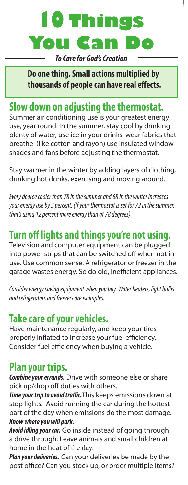# **10 Things You**

*To Care for God's Creation* 

**Do one thing. Small actions multiplied by thousands of people can have real effects.**

# **Slow down on adjusting the thermostat.**

Summer air conditioning use is your greatest energy use, year round. In the summer, stay cool by drinking plenty of water, use ice in your drinks, wear fabrics that breathe (like cotton and rayon) use insulated window shades and fans before adjusting the thermostat.

Stay warmer in the winter by adding layers of clothing, drinking hot drinks, exercising and moving around.

*Every degree cooler than 78 in the summer and 68 in the winter increases your energy use by 3 percent. (If your thermostat is set for 72 in the summer, that's using 12 percent more energy than at 78 degrees).*

# **Turn off lights and things you're not using.**

Television and computer equipment can be plugged into power strips that can be switched off when not in use. Use common sense. A refrigerator or freezer in the garage wastes energy. So do old, inefficient appliances.

*Consider energy saving equipment when you buy. Water heaters, light bulbs and refrigerators and freezers are examples.*

## **Take care of your vehicles.**

Have maintenance regularly, and keep your tires properly inflated to increase your fuel efficiency. Consider fuel efficiency when buying a vehicle.

## **Plan your trips.**

*Combine your errands.* Drive with someone else or share pick up/drop off duties with others.

*Time your trip to avoid traffic.*This keeps emissions down at stop lights. Avoid running the car during the hottest part of the day when emissions do the most damage. *Know where you will park.* 

*Avoid idling your car.* Go inside instead of going through a drive through. Leave animals and small children at home in the heat of the day.

*Plan your deliveries.* Can your deliveries be made by the post office? Can you stock up, or order multiple items?